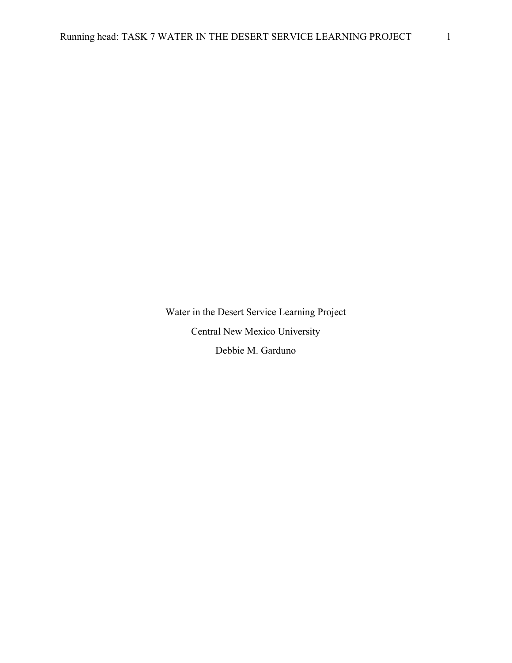Water in the Desert Service Learning Project Central New Mexico University Debbie M. Garduno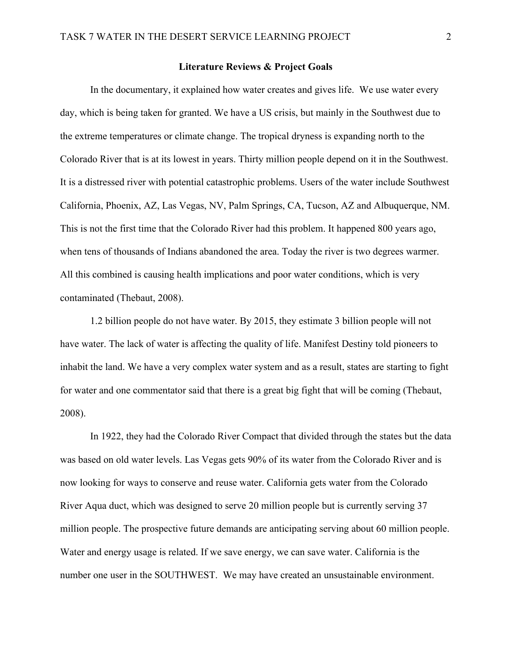## **Literature Reviews & Project Goals**

In the documentary, it explained how water creates and gives life. We use water every day, which is being taken for granted. We have a US crisis, but mainly in the Southwest due to the extreme temperatures or climate change. The tropical dryness is expanding north to the Colorado River that is at its lowest in years. Thirty million people depend on it in the Southwest. It is a distressed river with potential catastrophic problems. Users of the water include Southwest California, Phoenix, AZ, Las Vegas, NV, Palm Springs, CA, Tucson, AZ and Albuquerque, NM. This is not the first time that the Colorado River had this problem. It happened 800 years ago, when tens of thousands of Indians abandoned the area. Today the river is two degrees warmer. All this combined is causing health implications and poor water conditions, which is very contaminated (Thebaut, 2008).

1.2 billion people do not have water. By 2015, they estimate 3 billion people will not have water. The lack of water is affecting the quality of life. Manifest Destiny told pioneers to inhabit the land. We have a very complex water system and as a result, states are starting to fight for water and one commentator said that there is a great big fight that will be coming (Thebaut, 2008).

In 1922, they had the Colorado River Compact that divided through the states but the data was based on old water levels. Las Vegas gets 90% of its water from the Colorado River and is now looking for ways to conserve and reuse water. California gets water from the Colorado River Aqua duct, which was designed to serve 20 million people but is currently serving 37 million people. The prospective future demands are anticipating serving about 60 million people. Water and energy usage is related. If we save energy, we can save water. California is the number one user in the SOUTHWEST. We may have created an unsustainable environment.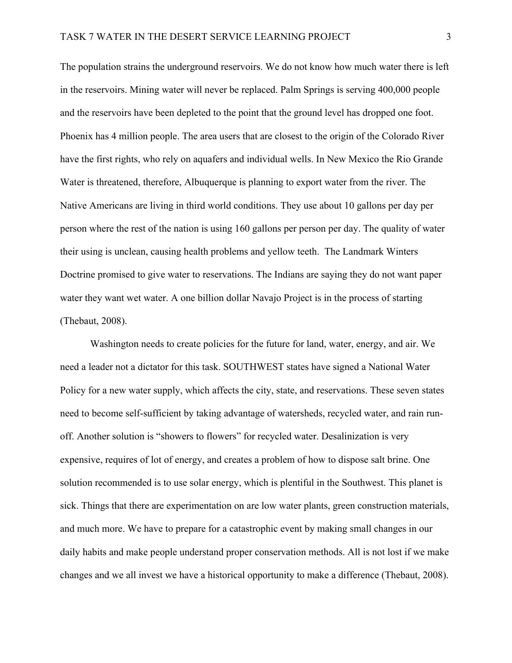The population strains the underground reservoirs. We do not know how much water there is left in the reservoirs. Mining water will never be replaced. Palm Springs is serving 400,000 people and the reservoirs have been depleted to the point that the ground level has dropped one foot. Phoenix has 4 million people. The area users that are closest to the origin of the Colorado River have the first rights, who rely on aquafers and individual wells. In New Mexico the Rio Grande Water is threatened, therefore, Albuquerque is planning to export water from the river. The Native Americans are living in third world conditions. They use about 10 gallons per day per person where the rest of the nation is using 160 gallons per person per day. The quality of water their using is unclean, causing health problems and yellow teeth. The Landmark Winters Doctrine promised to give water to reservations. The Indians are saying they do not want paper water they want wet water. A one billion dollar Navajo Project is in the process of starting (Thebaut, 2008).

Washington needs to create policies for the future for land, water, energy, and air. We need a leader not a dictator for this task. SOUTHWEST states have signed a National Water Policy for a new water supply, which affects the city, state, and reservations. These seven states need to become self-sufficient by taking advantage of watersheds, recycled water, and rain runoff. Another solution is "showers to flowers" for recycled water. Desalinization is very expensive, requires of lot of energy, and creates a problem of how to dispose salt brine. One solution recommended is to use solar energy, which is plentiful in the Southwest. This planet is sick. Things that there are experimentation on are low water plants, green construction materials, and much more. We have to prepare for a catastrophic event by making small changes in our daily habits and make people understand proper conservation methods. All is not lost if we make changes and we all invest we have a historical opportunity to make a difference (Thebaut, 2008).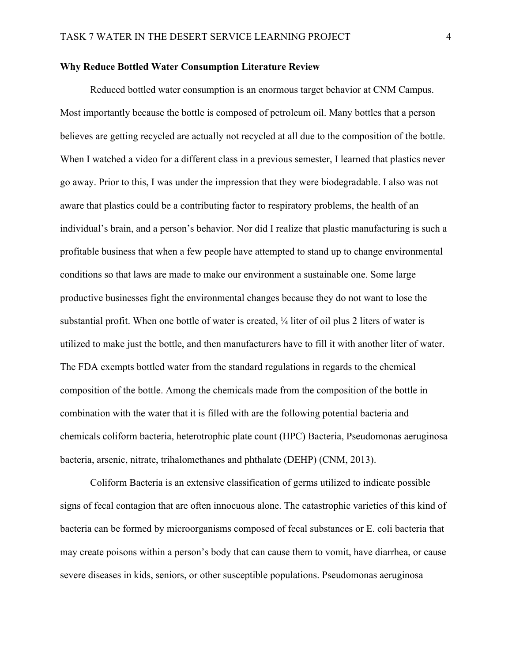## **Why Reduce Bottled Water Consumption Literature Review**

Reduced bottled water consumption is an enormous target behavior at CNM Campus. Most importantly because the bottle is composed of petroleum oil. Many bottles that a person believes are getting recycled are actually not recycled at all due to the composition of the bottle. When I watched a video for a different class in a previous semester, I learned that plastics never go away. Prior to this, I was under the impression that they were biodegradable. I also was not aware that plastics could be a contributing factor to respiratory problems, the health of an individual's brain, and a person's behavior. Nor did I realize that plastic manufacturing is such a profitable business that when a few people have attempted to stand up to change environmental conditions so that laws are made to make our environment a sustainable one. Some large productive businesses fight the environmental changes because they do not want to lose the substantial profit. When one bottle of water is created,  $\frac{1}{4}$  liter of oil plus 2 liters of water is utilized to make just the bottle, and then manufacturers have to fill it with another liter of water. The FDA exempts bottled water from the standard regulations in regards to the chemical composition of the bottle. Among the chemicals made from the composition of the bottle in combination with the water that it is filled with are the following potential bacteria and chemicals coliform bacteria, heterotrophic plate count (HPC) Bacteria, Pseudomonas aeruginosa bacteria, arsenic, nitrate, trihalomethanes and phthalate (DEHP) (CNM, 2013).

Coliform Bacteria is an extensive classification of germs utilized to indicate possible signs of fecal contagion that are often innocuous alone. The catastrophic varieties of this kind of bacteria can be formed by microorganisms composed of fecal substances or E. coli bacteria that may create poisons within a person's body that can cause them to vomit, have diarrhea, or cause severe diseases in kids, seniors, or other susceptible populations. Pseudomonas aeruginosa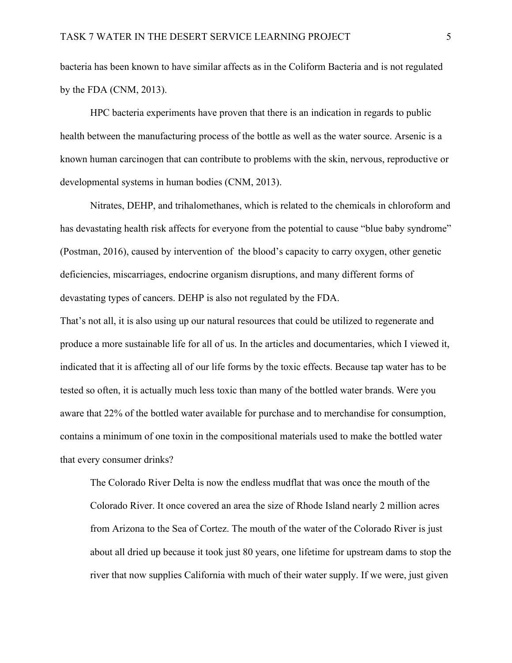bacteria has been known to have similar affects as in the Coliform Bacteria and is not regulated by the FDA (CNM, 2013).

HPC bacteria experiments have proven that there is an indication in regards to public health between the manufacturing process of the bottle as well as the water source. Arsenic is a known human carcinogen that can contribute to problems with the skin, nervous, reproductive or developmental systems in human bodies (CNM, 2013).

Nitrates, DEHP, and trihalomethanes, which is related to the chemicals in chloroform and has devastating health risk affects for everyone from the potential to cause "blue baby syndrome" (Postman, 2016), caused by intervention of the blood's capacity to carry oxygen, other genetic deficiencies, miscarriages, endocrine organism disruptions, and many different forms of devastating types of cancers. DEHP is also not regulated by the FDA.

That's not all, it is also using up our natural resources that could be utilized to regenerate and produce a more sustainable life for all of us. In the articles and documentaries, which I viewed it, indicated that it is affecting all of our life forms by the toxic effects. Because tap water has to be tested so often, it is actually much less toxic than many of the bottled water brands. Were you aware that 22% of the bottled water available for purchase and to merchandise for consumption, contains a minimum of one toxin in the compositional materials used to make the bottled water that every consumer drinks?

The Colorado River Delta is now the endless mudflat that was once the mouth of the Colorado River. It once covered an area the size of Rhode Island nearly 2 million acres from Arizona to the Sea of Cortez. The mouth of the water of the Colorado River is just about all dried up because it took just 80 years, one lifetime for upstream dams to stop the river that now supplies California with much of their water supply. If we were, just given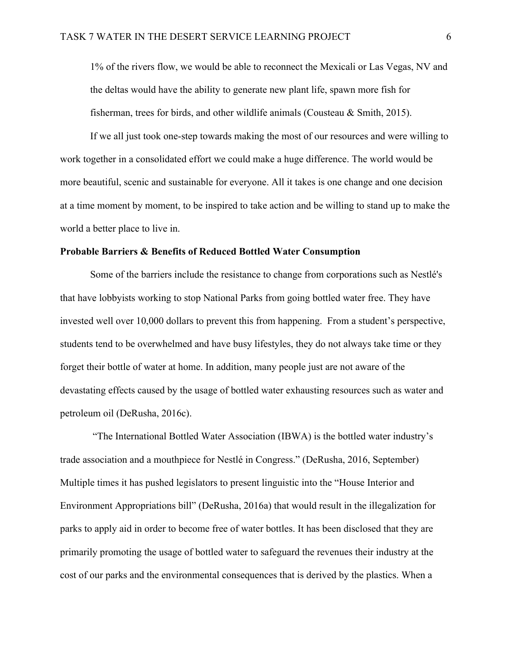1% of the rivers flow, we would be able to reconnect the Mexicali or Las Vegas, NV and the deltas would have the ability to generate new plant life, spawn more fish for fisherman, trees for birds, and other wildlife animals (Cousteau  $\&$  Smith, 2015).

If we all just took one-step towards making the most of our resources and were willing to work together in a consolidated effort we could make a huge difference. The world would be more beautiful, scenic and sustainable for everyone. All it takes is one change and one decision at a time moment by moment, to be inspired to take action and be willing to stand up to make the world a better place to live in.

#### **Probable Barriers & Benefits of Reduced Bottled Water Consumption**

Some of the barriers include the resistance to change from corporations such as Nestlé's that have lobbyists working to stop National Parks from going bottled water free. They have invested well over 10,000 dollars to prevent this from happening. From a student's perspective, students tend to be overwhelmed and have busy lifestyles, they do not always take time or they forget their bottle of water at home. In addition, many people just are not aware of the devastating effects caused by the usage of bottled water exhausting resources such as water and petroleum oil (DeRusha, 2016c).

"The International Bottled Water Association (IBWA) is the bottled water industry's trade association and a mouthpiece for Nestlé in Congress." (DeRusha, 2016, September) Multiple times it has pushed legislators to present linguistic into the "House Interior and Environment Appropriations bill" (DeRusha, 2016a) that would result in the illegalization for parks to apply aid in order to become free of water bottles. It has been disclosed that they are primarily promoting the usage of bottled water to safeguard the revenues their industry at the cost of our parks and the environmental consequences that is derived by the plastics. When a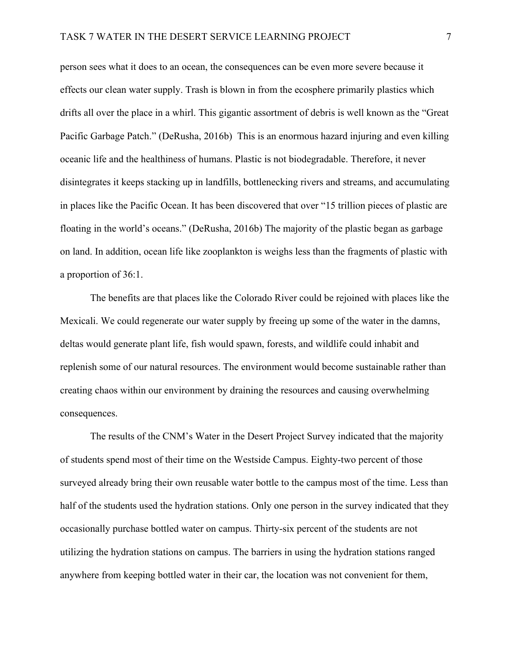person sees what it does to an ocean, the consequences can be even more severe because it effects our clean water supply. Trash is blown in from the ecosphere primarily plastics which drifts all over the place in a whirl. This gigantic assortment of debris is well known as the "Great Pacific Garbage Patch." (DeRusha, 2016b) This is an enormous hazard injuring and even killing oceanic life and the healthiness of humans. Plastic is not biodegradable. Therefore, it never disintegrates it keeps stacking up in landfills, bottlenecking rivers and streams, and accumulating in places like the Pacific Ocean. It has been discovered that over "15 trillion pieces of plastic are floating in the world's oceans." (DeRusha, 2016b) The majority of the plastic began as garbage on land. In addition, ocean life like zooplankton is weighs less than the fragments of plastic with a proportion of 36:1.

The benefits are that places like the Colorado River could be rejoined with places like the Mexicali. We could regenerate our water supply by freeing up some of the water in the damns, deltas would generate plant life, fish would spawn, forests, and wildlife could inhabit and replenish some of our natural resources. The environment would become sustainable rather than creating chaos within our environment by draining the resources and causing overwhelming consequences.

The results of the CNM's Water in the Desert Project Survey indicated that the majority of students spend most of their time on the Westside Campus. Eighty-two percent of those surveyed already bring their own reusable water bottle to the campus most of the time. Less than half of the students used the hydration stations. Only one person in the survey indicated that they occasionally purchase bottled water on campus. Thirty-six percent of the students are not utilizing the hydration stations on campus. The barriers in using the hydration stations ranged anywhere from keeping bottled water in their car, the location was not convenient for them,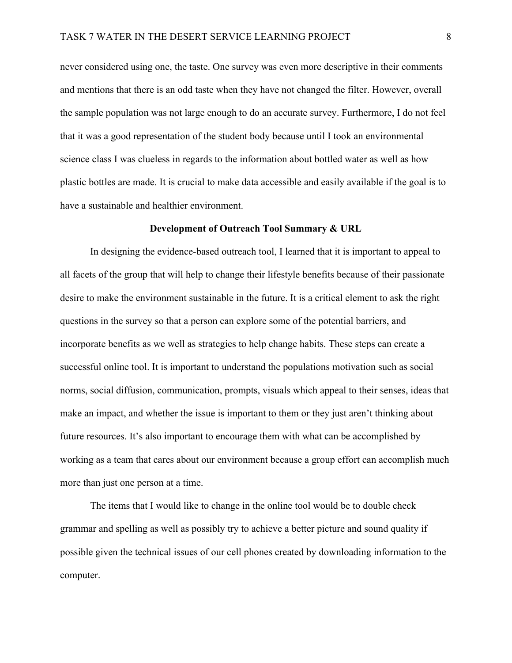never considered using one, the taste. One survey was even more descriptive in their comments and mentions that there is an odd taste when they have not changed the filter. However, overall the sample population was not large enough to do an accurate survey. Furthermore, I do not feel that it was a good representation of the student body because until I took an environmental science class I was clueless in regards to the information about bottled water as well as how plastic bottles are made. It is crucial to make data accessible and easily available if the goal is to have a sustainable and healthier environment.

### **Development of Outreach Tool Summary & URL**

In designing the evidence-based outreach tool, I learned that it is important to appeal to all facets of the group that will help to change their lifestyle benefits because of their passionate desire to make the environment sustainable in the future. It is a critical element to ask the right questions in the survey so that a person can explore some of the potential barriers, and incorporate benefits as we well as strategies to help change habits. These steps can create a successful online tool. It is important to understand the populations motivation such as social norms, social diffusion, communication, prompts, visuals which appeal to their senses, ideas that make an impact, and whether the issue is important to them or they just aren't thinking about future resources. It's also important to encourage them with what can be accomplished by working as a team that cares about our environment because a group effort can accomplish much more than just one person at a time.

The items that I would like to change in the online tool would be to double check grammar and spelling as well as possibly try to achieve a better picture and sound quality if possible given the technical issues of our cell phones created by downloading information to the computer.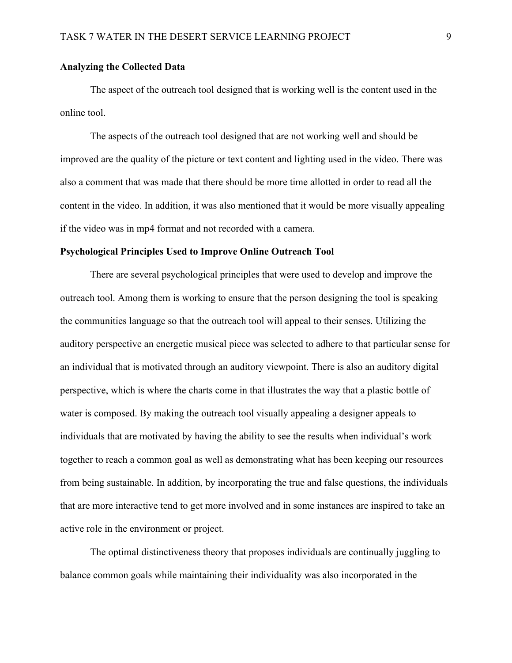# **Analyzing the Collected Data**

The aspect of the outreach tool designed that is working well is the content used in the online tool.

The aspects of the outreach tool designed that are not working well and should be improved are the quality of the picture or text content and lighting used in the video. There was also a comment that was made that there should be more time allotted in order to read all the content in the video. In addition, it was also mentioned that it would be more visually appealing if the video was in mp4 format and not recorded with a camera.

### **Psychological Principles Used to Improve Online Outreach Tool**

There are several psychological principles that were used to develop and improve the outreach tool. Among them is working to ensure that the person designing the tool is speaking the communities language so that the outreach tool will appeal to their senses. Utilizing the auditory perspective an energetic musical piece was selected to adhere to that particular sense for an individual that is motivated through an auditory viewpoint. There is also an auditory digital perspective, which is where the charts come in that illustrates the way that a plastic bottle of water is composed. By making the outreach tool visually appealing a designer appeals to individuals that are motivated by having the ability to see the results when individual's work together to reach a common goal as well as demonstrating what has been keeping our resources from being sustainable. In addition, by incorporating the true and false questions, the individuals that are more interactive tend to get more involved and in some instances are inspired to take an active role in the environment or project.

The optimal distinctiveness theory that proposes individuals are continually juggling to balance common goals while maintaining their individuality was also incorporated in the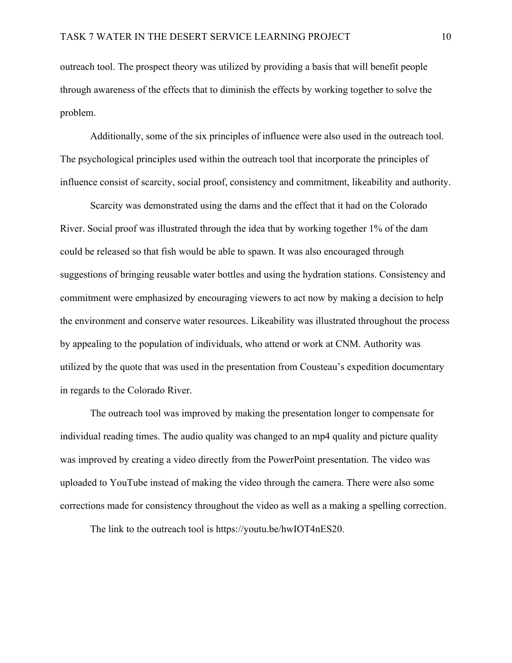outreach tool. The prospect theory was utilized by providing a basis that will benefit people through awareness of the effects that to diminish the effects by working together to solve the problem.

Additionally, some of the six principles of influence were also used in the outreach tool. The psychological principles used within the outreach tool that incorporate the principles of influence consist of scarcity, social proof, consistency and commitment, likeability and authority.

Scarcity was demonstrated using the dams and the effect that it had on the Colorado River. Social proof was illustrated through the idea that by working together 1% of the dam could be released so that fish would be able to spawn. It was also encouraged through suggestions of bringing reusable water bottles and using the hydration stations. Consistency and commitment were emphasized by encouraging viewers to act now by making a decision to help the environment and conserve water resources. Likeability was illustrated throughout the process by appealing to the population of individuals, who attend or work at CNM. Authority was utilized by the quote that was used in the presentation from Cousteau's expedition documentary in regards to the Colorado River.

The outreach tool was improved by making the presentation longer to compensate for individual reading times. The audio quality was changed to an mp4 quality and picture quality was improved by creating a video directly from the PowerPoint presentation. The video was uploaded to YouTube instead of making the video through the camera. There were also some corrections made for consistency throughout the video as well as a making a spelling correction.

The link to the outreach tool is https://youtu.be/hwIOT4nES20.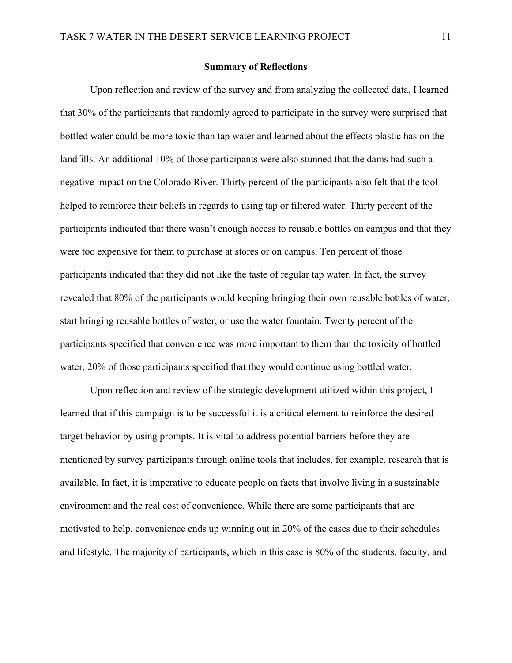## **Summary of Reflections**

Upon reflection and review of the survey and from analyzing the collected data, I learned that 30% of the participants that randomly agreed to participate in the survey were surprised that bottled water could be more toxic than tap water and learned about the effects plastic has on the landfills. An additional 10% of those participants were also stunned that the dams had such a negative impact on the Colorado River. Thirty percent of the participants also felt that the tool helped to reinforce their beliefs in regards to using tap or filtered water. Thirty percent of the participants indicated that there wasn't enough access to reusable bottles on campus and that they were too expensive for them to purchase at stores or on campus. Ten percent of those participants indicated that they did not like the taste of regular tap water. In fact, the survey revealed that 80% of the participants would keeping bringing their own reusable bottles of water, start bringing reusable bottles of water, or use the water fountain. Twenty percent of the participants specified that convenience was more important to them than the toxicity of bottled water, 20% of those participants specified that they would continue using bottled water.

Upon reflection and review of the strategic development utilized within this project, I learned that if this campaign is to be successful it is a critical element to reinforce the desired target behavior by using prompts. It is vital to address potential barriers before they are mentioned by survey participants through online tools that includes, for example, research that is available. In fact, it is imperative to educate people on facts that involve living in a sustainable environment and the real cost of convenience. While there are some participants that are motivated to help, convenience ends up winning out in 20% of the cases due to their schedules and lifestyle. The majority of participants, which in this case is 80% of the students, faculty, and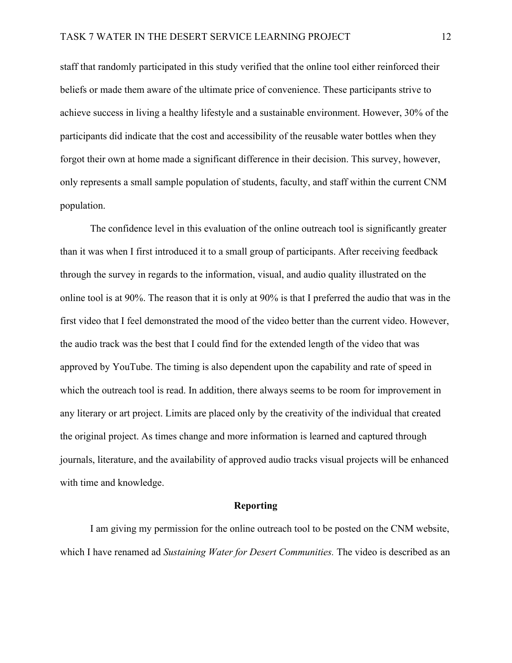staff that randomly participated in this study verified that the online tool either reinforced their beliefs or made them aware of the ultimate price of convenience. These participants strive to achieve success in living a healthy lifestyle and a sustainable environment. However, 30% of the participants did indicate that the cost and accessibility of the reusable water bottles when they forgot their own at home made a significant difference in their decision. This survey, however, only represents a small sample population of students, faculty, and staff within the current CNM population.

The confidence level in this evaluation of the online outreach tool is significantly greater than it was when I first introduced it to a small group of participants. After receiving feedback through the survey in regards to the information, visual, and audio quality illustrated on the online tool is at 90%. The reason that it is only at 90% is that I preferred the audio that was in the first video that I feel demonstrated the mood of the video better than the current video. However, the audio track was the best that I could find for the extended length of the video that was approved by YouTube. The timing is also dependent upon the capability and rate of speed in which the outreach tool is read. In addition, there always seems to be room for improvement in any literary or art project. Limits are placed only by the creativity of the individual that created the original project. As times change and more information is learned and captured through journals, literature, and the availability of approved audio tracks visual projects will be enhanced with time and knowledge.

# **Reporting**

I am giving my permission for the online outreach tool to be posted on the CNM website, which I have renamed ad *Sustaining Water for Desert Communities.* The video is described as an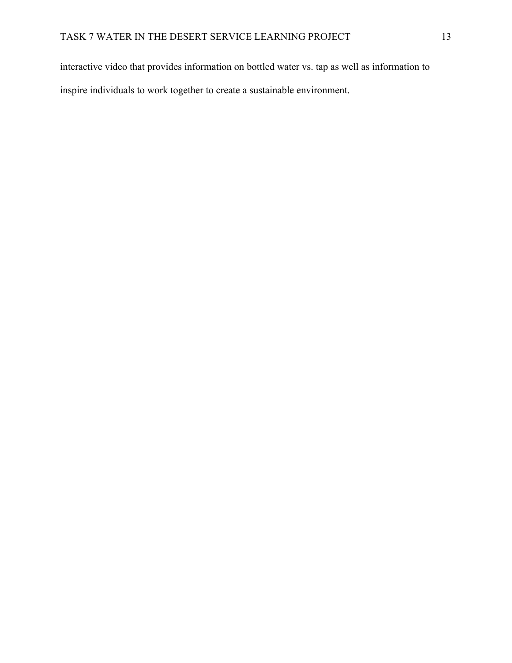interactive video that provides information on bottled water vs. tap as well as information to inspire individuals to work together to create a sustainable environment.